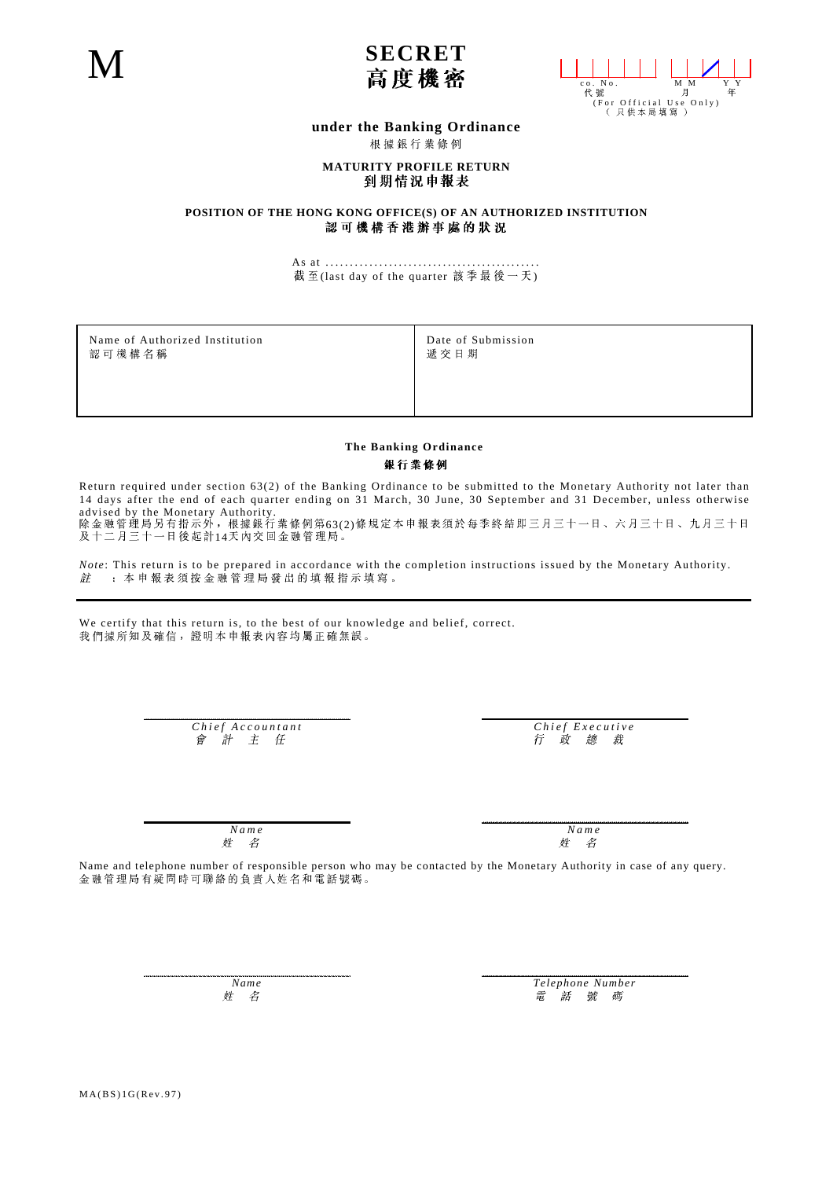



## **under the Banking Ordinance**

根據銀行業條例

## **MATURITY PROFILE RETURN**<br>到期情況申報表

**POSITION OF THE HONG KONG OFFICE(S) OF AN AUTHORIZED INSTITUTION**<br>認可機構香港辦事處的狀況

As at ............................................ 截至(last day of the quarter 該季最後一天)

Name of Authorized Institution **Date of Submission** Date of Submission **Date of Submission Date of Submission** 

## **The Banking Ordinance** 銀行業條例

Return required under section 63(2) of the Banking Ordinance to be submitted to the Monetary Authority not later than 14 days after the end of each quarter ending on 31 March, 30 June, 30 September and 31 December, unless otherwise advised by the Monetary Authority. 63(2) 14

*Note*: This return is to be prepared in accordance with the completion instructions issued by the Monetary Authority.<br>*註* :本申報表須按金融管理局發出的填報指示填寫。 註

We certify that this return is, to the best of our knowledge and belief, correct.<br>我們據所知及確信,證明本申報表內容均屬正確無誤。

*Chief Accountant Chief Executive*

姓 名

*Name Name* 姓 名

Name and telephone number of responsible person who may be contacted by the Monetary Authority in case of any query.<br>金融管理局有疑問時可聯絡的負責人姓名和電話號碼。

*Name Telephone Number*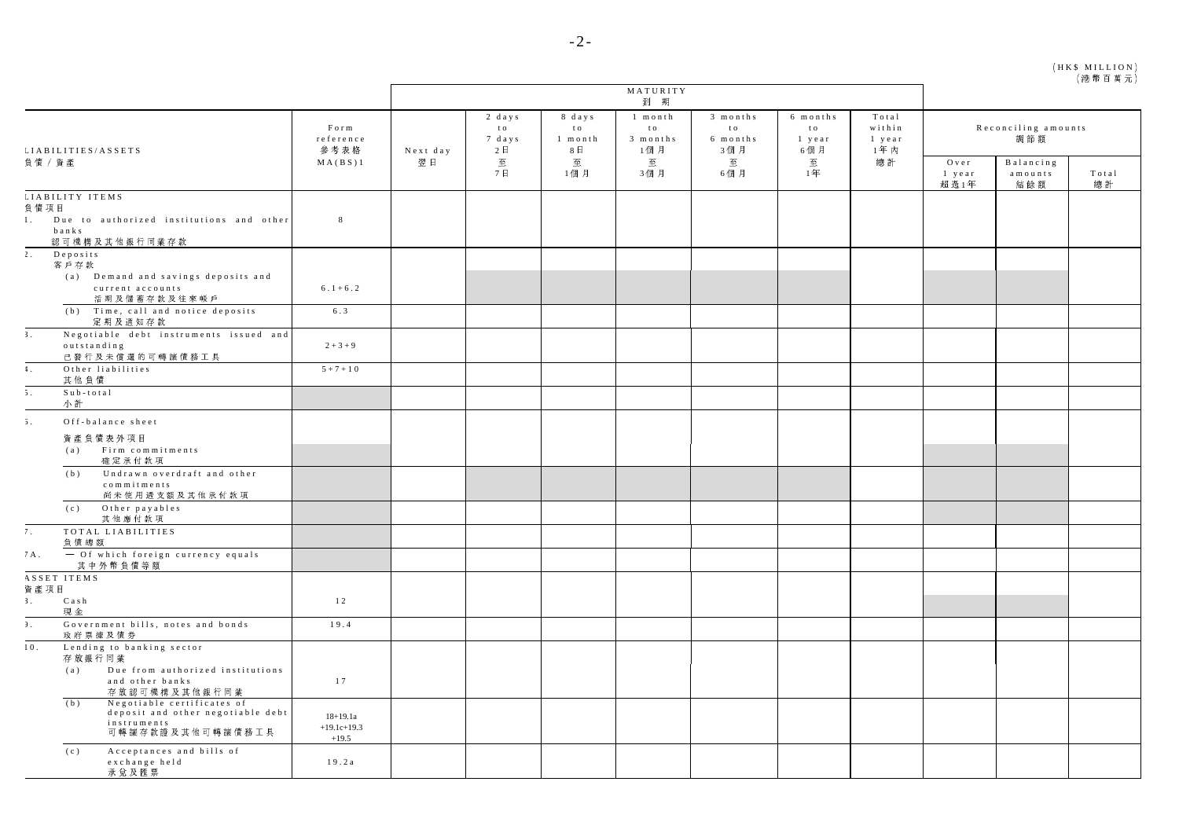| (HK\$ MILLION) |  |  |         |  |
|----------------|--|--|---------|--|
|                |  |  | (港幣百萬元) |  |

|                                                                                                           |                                          | MATURITY<br>到 期 |                                          |                                              |                                               |                                                |                                               |                                          |                                |                                                                    |             |
|-----------------------------------------------------------------------------------------------------------|------------------------------------------|-----------------|------------------------------------------|----------------------------------------------|-----------------------------------------------|------------------------------------------------|-----------------------------------------------|------------------------------------------|--------------------------------|--------------------------------------------------------------------|-------------|
| LIABILITIES/ASSETS                                                                                        | Form<br>reference<br>參考表格                | Next day<br>翌日  | 2 days<br>t o<br>7 days<br>2E<br>至<br>7日 | 8 days<br>t o<br>$1$ month<br>8日<br>至<br>1個月 | 1 month<br>t o<br>3 months<br>1個月<br>至<br>3個月 | 3 months<br>t o<br>6 months<br>3個月<br>至<br>6個月 | 6 months<br>t o<br>$1$ year<br>6個月<br>至<br>14 | Total<br>within<br>$1$ year<br>1年内<br>總計 | Reconciling amounts<br>調節額     |                                                                    |             |
| 負債 / 資產                                                                                                   | MA(BS)1                                  |                 |                                          |                                              |                                               |                                                |                                               |                                          | $O$ v e r<br>$1$ year<br>超 過1年 | Balancing<br>$\mathbf{a}$ m o $\mathbf{u}$ n t $\mathbf{s}$<br>結餘額 | Total<br>總計 |
| LIABILITY ITEMS<br>負債項目                                                                                   |                                          |                 |                                          |                                              |                                               |                                                |                                               |                                          |                                |                                                                    |             |
| Due to authorized institutions and other<br>1.1<br>banks<br>認可機構及其他銀行同業存款                                 | $\,$ 8 $\,$                              |                 |                                          |                                              |                                               |                                                |                                               |                                          |                                |                                                                    |             |
| $\overline{2}$ .<br>Depo sits<br>客戶存款                                                                     |                                          |                 |                                          |                                              |                                               |                                                |                                               |                                          |                                |                                                                    |             |
| (a) Demand and savings deposits and<br>current accounts<br>活期及儲蓄存款及往來帳戶                                   | $6.1 + 6.2$                              |                 |                                          |                                              |                                               |                                                |                                               |                                          |                                |                                                                    |             |
| (b) Time, call and notice deposits<br>定期及通知存款                                                             | 6.3                                      |                 |                                          |                                              |                                               |                                                |                                               |                                          |                                |                                                                    |             |
| Negotiable debt instruments issued and<br>3 <sup>1</sup><br>outstanding<br>已發行及未償還的可轉讓債務工具                | $2 + 3 + 9$                              |                 |                                          |                                              |                                               |                                                |                                               |                                          |                                |                                                                    |             |
| Other liabilities<br>$\ddagger$ .<br>其他負債                                                                 | $5 + 7 + 10$                             |                 |                                          |                                              |                                               |                                                |                                               |                                          |                                |                                                                    |             |
| $\overline{5}$ .<br>$S$ ub-total<br>小計                                                                    |                                          |                 |                                          |                                              |                                               |                                                |                                               |                                          |                                |                                                                    |             |
| 5.<br>Off-balance sheet                                                                                   |                                          |                 |                                          |                                              |                                               |                                                |                                               |                                          |                                |                                                                    |             |
| 資產負債表外項目<br>(a)<br>Firm commitments<br>確定承付款項                                                             |                                          |                 |                                          |                                              |                                               |                                                |                                               |                                          |                                |                                                                    |             |
| Undrawn overdraft and other<br>(b)<br>commitments<br>尚未使用透支額及其他承付款項                                       |                                          |                 |                                          |                                              |                                               |                                                |                                               |                                          |                                |                                                                    |             |
| (c) Other payables<br>其他應付款項                                                                              |                                          |                 |                                          |                                              |                                               |                                                |                                               |                                          |                                |                                                                    |             |
| TOTAL LIABILITIES<br>7.<br>負債總額                                                                           |                                          |                 |                                          |                                              |                                               |                                                |                                               |                                          |                                |                                                                    |             |
| - Of which foreign currency equals<br>7A.<br>其中外幣負債等額                                                     |                                          |                 |                                          |                                              |                                               |                                                |                                               |                                          |                                |                                                                    |             |
| ASSET ITEMS<br>資產項目                                                                                       |                                          |                 |                                          |                                              |                                               |                                                |                                               |                                          |                                |                                                                    |             |
| 3.<br>Cash<br>現金                                                                                          | 12                                       |                 |                                          |                                              |                                               |                                                |                                               |                                          |                                |                                                                    |             |
| Government bills, notes and bonds<br>$\mathcal{F}$ .<br>政府票據及債券                                           | 19.4                                     |                 |                                          |                                              |                                               |                                                |                                               |                                          |                                |                                                                    |             |
| Lending to banking sector<br>10.<br>存放銀行同業<br>Due from authorized institutions<br>(a)                     |                                          |                 |                                          |                                              |                                               |                                                |                                               |                                          |                                |                                                                    |             |
| and other banks<br>存放認可機構及其他銀行同業                                                                          | 17                                       |                 |                                          |                                              |                                               |                                                |                                               |                                          |                                |                                                                    |             |
| Negotiable certificates of<br>(b)<br>deposit and other negotiable debt<br>instruments<br>可轉讓存款證及其他可轉讓債務工具 | $18 + 19.1a$<br>$+19.1c+19.3$<br>$+19.5$ |                 |                                          |                                              |                                               |                                                |                                               |                                          |                                |                                                                    |             |
| Acceptances and bills of<br>(c)<br>exchange held<br>承兌及匯票                                                 | 19.2a                                    |                 |                                          |                                              |                                               |                                                |                                               |                                          |                                |                                                                    |             |